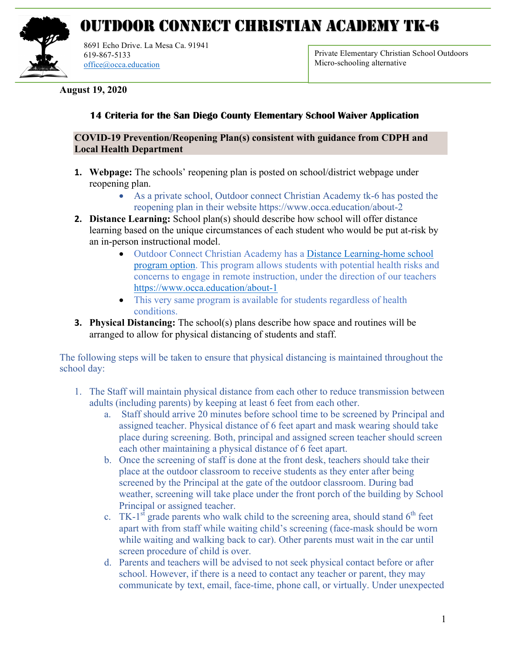

## OUTDOOR CONNECT CHRISTIAN ACADEMY TK-6

8691 Echo Drive. La Mesa Ca. 91941 619-867-5133 office@occa.education

Private Elementary Christian School Outdoors Micro-schooling alternative

**August 19, 2020**

## **14 Criteria for the San Diego County Elementary School Waiver Application**

## **COVID-19 Prevention/Reopening Plan(s) consistent with guidance from CDPH and Local Health Department**

- **1. Webpage:** The schools' reopening plan is posted on school/district webpage under reopening plan.
	- As a private school, Outdoor connect Christian Academy tk-6 has posted the reopening plan in their website https://www.occa.education/about-2
- **2. Distance Learning:** School plan(s) should describe how school will offer distance learning based on the unique circumstances of each student who would be put at-risk by an in-person instructional model.
	- Outdoor Connect Christian Academy has a Distance Learning-home school program option. This program allows students with potential health risks and concerns to engage in remote instruction, under the direction of our teachers https://www.occa.education/about-1
	- This very same program is available for students regardless of health conditions.
- **3. Physical Distancing:** The school(s) plans describe how space and routines will be arranged to allow for physical distancing of students and staff.

The following steps will be taken to ensure that physical distancing is maintained throughout the school day:

- 1. The Staff will maintain physical distance from each other to reduce transmission between adults (including parents) by keeping at least 6 feet from each other.
	- a. Staff should arrive 20 minutes before school time to be screened by Principal and assigned teacher. Physical distance of 6 feet apart and mask wearing should take place during screening. Both, principal and assigned screen teacher should screen each other maintaining a physical distance of 6 feet apart.
	- b. Once the screening of staff is done at the front desk, teachers should take their place at the outdoor classroom to receive students as they enter after being screened by the Principal at the gate of the outdoor classroom. During bad weather, screening will take place under the front porch of the building by School Principal or assigned teacher.
	- c. TK-1<sup>st</sup> grade parents who walk child to the screening area, should stand  $6<sup>th</sup>$  feet apart with from staff while waiting child's screening (face-mask should be worn while waiting and walking back to car). Other parents must wait in the car until screen procedure of child is over.
	- d. Parents and teachers will be advised to not seek physical contact before or after school. However, if there is a need to contact any teacher or parent, they may communicate by text, email, face-time, phone call, or virtually. Under unexpected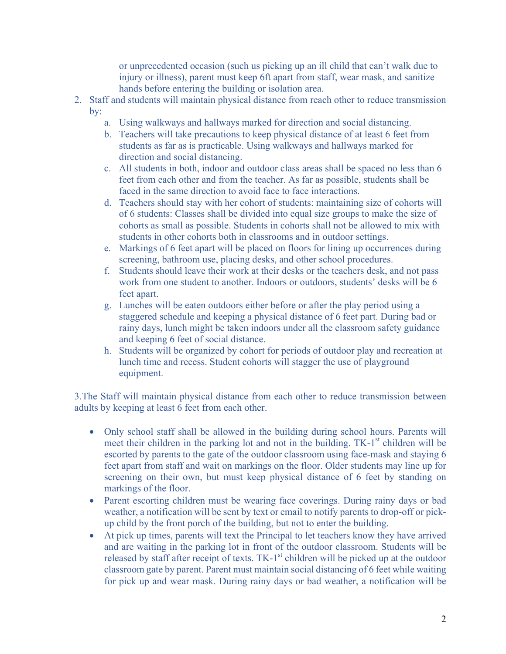or unprecedented occasion (such us picking up an ill child that can't walk due to injury or illness), parent must keep 6ft apart from staff, wear mask, and sanitize hands before entering the building or isolation area.

- 2. Staff and students will maintain physical distance from reach other to reduce transmission by:
	- a. Using walkways and hallways marked for direction and social distancing.
	- b. Teachers will take precautions to keep physical distance of at least 6 feet from students as far as is practicable. Using walkways and hallways marked for direction and social distancing.
	- c. All students in both, indoor and outdoor class areas shall be spaced no less than 6 feet from each other and from the teacher. As far as possible, students shall be faced in the same direction to avoid face to face interactions.
	- d. Teachers should stay with her cohort of students: maintaining size of cohorts will of 6 students: Classes shall be divided into equal size groups to make the size of cohorts as small as possible. Students in cohorts shall not be allowed to mix with students in other cohorts both in classrooms and in outdoor settings.
	- e. Markings of 6 feet apart will be placed on floors for lining up occurrences during screening, bathroom use, placing desks, and other school procedures.
	- f. Students should leave their work at their desks or the teachers desk, and not pass work from one student to another. Indoors or outdoors, students' desks will be 6 feet apart.
	- g. Lunches will be eaten outdoors either before or after the play period using a staggered schedule and keeping a physical distance of 6 feet part. During bad or rainy days, lunch might be taken indoors under all the classroom safety guidance and keeping 6 feet of social distance.
	- h. Students will be organized by cohort for periods of outdoor play and recreation at lunch time and recess. Student cohorts will stagger the use of playground equipment.

3.The Staff will maintain physical distance from each other to reduce transmission between adults by keeping at least 6 feet from each other.

- Only school staff shall be allowed in the building during school hours. Parents will meet their children in the parking lot and not in the building.  $TK-1<sup>st</sup>$  children will be escorted by parents to the gate of the outdoor classroom using face-mask and staying 6 feet apart from staff and wait on markings on the floor. Older students may line up for screening on their own, but must keep physical distance of 6 feet by standing on markings of the floor.
- Parent escorting children must be wearing face coverings. During rainy days or bad weather, a notification will be sent by text or email to notify parents to drop-off or pickup child by the front porch of the building, but not to enter the building.
- At pick up times, parents will text the Principal to let teachers know they have arrived and are waiting in the parking lot in front of the outdoor classroom. Students will be released by staff after receipt of texts. TK-1<sup>st</sup> children will be picked up at the outdoor classroom gate by parent. Parent must maintain social distancing of 6 feet while waiting for pick up and wear mask. During rainy days or bad weather, a notification will be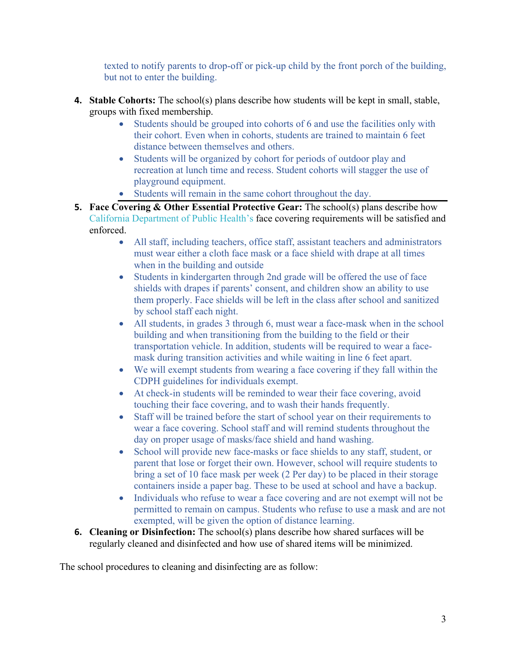texted to notify parents to drop-off or pick-up child by the front porch of the building, but not to enter the building.

- **4. Stable Cohorts:** The school(s) plans describe how students will be kept in small, stable, groups with fixed membership.
	- Students should be grouped into cohorts of 6 and use the facilities only with their cohort. Even when in cohorts, students are trained to maintain 6 feet distance between themselves and others.
	- Students will be organized by cohort for periods of outdoor play and recreation at lunch time and recess. Student cohorts will stagger the use of playground equipment.
	- Students will remain in the same cohort throughout the day.
- **5. Face Covering & Other Essential Protective Gear:** The school(s) plans describe how California Department of Public Health's face covering requirements will be satisfied and enforced.
	- All staff, including teachers, office staff, assistant teachers and administrators must wear either a cloth face mask or a face shield with drape at all times when in the building and outside
	- Students in kindergarten through 2nd grade will be offered the use of face shields with drapes if parents' consent, and children show an ability to use them properly. Face shields will be left in the class after school and sanitized by school staff each night.
	- All students, in grades 3 through 6, must wear a face-mask when in the school building and when transitioning from the building to the field or their transportation vehicle. In addition, students will be required to wear a facemask during transition activities and while waiting in line 6 feet apart.
	- We will exempt students from wearing a face covering if they fall within the CDPH guidelines for individuals exempt.
	- At check-in students will be reminded to wear their face covering, avoid touching their face covering, and to wash their hands frequently.
	- Staff will be trained before the start of school year on their requirements to wear a face covering. School staff and will remind students throughout the day on proper usage of masks/face shield and hand washing.
	- School will provide new face-masks or face shields to any staff, student, or parent that lose or forget their own. However, school will require students to bring a set of 10 face mask per week (2 Per day) to be placed in their storage containers inside a paper bag. These to be used at school and have a backup.
	- Individuals who refuse to wear a face covering and are not exempt will not be permitted to remain on campus. Students who refuse to use a mask and are not exempted, will be given the option of distance learning.
- **6. Cleaning or Disinfection:** The school(s) plans describe how shared surfaces will be regularly cleaned and disinfected and how use of shared items will be minimized.

The school procedures to cleaning and disinfecting are as follow: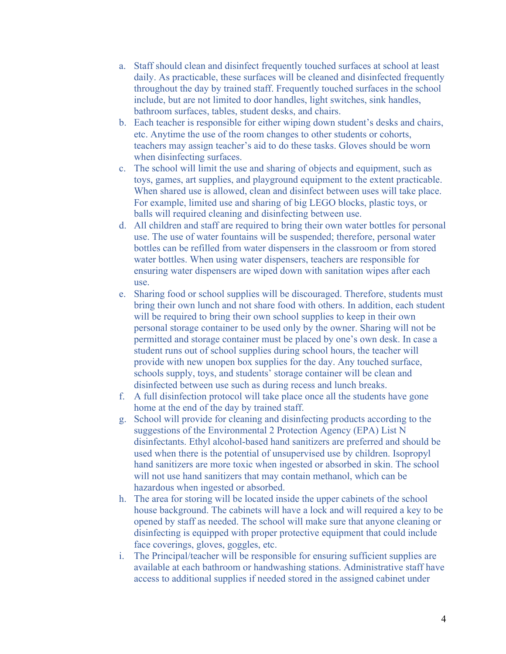- a. Staff should clean and disinfect frequently touched surfaces at school at least daily. As practicable, these surfaces will be cleaned and disinfected frequently throughout the day by trained staff. Frequently touched surfaces in the school include, but are not limited to door handles, light switches, sink handles, bathroom surfaces, tables, student desks, and chairs.
- b. Each teacher is responsible for either wiping down student's desks and chairs, etc. Anytime the use of the room changes to other students or cohorts, teachers may assign teacher's aid to do these tasks. Gloves should be worn when disinfecting surfaces.
- c. The school will limit the use and sharing of objects and equipment, such as toys, games, art supplies, and playground equipment to the extent practicable. When shared use is allowed, clean and disinfect between uses will take place. For example, limited use and sharing of big LEGO blocks, plastic toys, or balls will required cleaning and disinfecting between use.
- d. All children and staff are required to bring their own water bottles for personal use. The use of water fountains will be suspended; therefore, personal water bottles can be refilled from water dispensers in the classroom or from stored water bottles. When using water dispensers, teachers are responsible for ensuring water dispensers are wiped down with sanitation wipes after each use.
- e. Sharing food or school supplies will be discouraged. Therefore, students must bring their own lunch and not share food with others. In addition, each student will be required to bring their own school supplies to keep in their own personal storage container to be used only by the owner. Sharing will not be permitted and storage container must be placed by one's own desk. In case a student runs out of school supplies during school hours, the teacher will provide with new unopen box supplies for the day. Any touched surface, schools supply, toys, and students' storage container will be clean and disinfected between use such as during recess and lunch breaks.
- f. A full disinfection protocol will take place once all the students have gone home at the end of the day by trained staff.
- g. School will provide for cleaning and disinfecting products according to the suggestions of the Environmental 2 Protection Agency (EPA) List N disinfectants. Ethyl alcohol-based hand sanitizers are preferred and should be used when there is the potential of unsupervised use by children. Isopropyl hand sanitizers are more toxic when ingested or absorbed in skin. The school will not use hand sanitizers that may contain methanol, which can be hazardous when ingested or absorbed.
- h. The area for storing will be located inside the upper cabinets of the school house background. The cabinets will have a lock and will required a key to be opened by staff as needed. The school will make sure that anyone cleaning or disinfecting is equipped with proper protective equipment that could include face coverings, gloves, goggles, etc.
- i. The Principal/teacher will be responsible for ensuring sufficient supplies are available at each bathroom or handwashing stations. Administrative staff have access to additional supplies if needed stored in the assigned cabinet under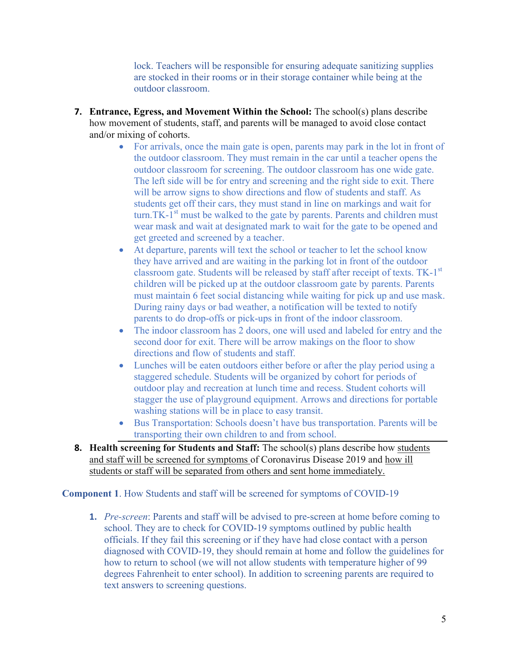lock. Teachers will be responsible for ensuring adequate sanitizing supplies are stocked in their rooms or in their storage container while being at the outdoor classroom.

- **7. Entrance, Egress, and Movement Within the School:** The school(s) plans describe how movement of students, staff, and parents will be managed to avoid close contact and/or mixing of cohorts.
	- For arrivals, once the main gate is open, parents may park in the lot in front of the outdoor classroom. They must remain in the car until a teacher opens the outdoor classroom for screening. The outdoor classroom has one wide gate. The left side will be for entry and screening and the right side to exit. There will be arrow signs to show directions and flow of students and staff. As students get off their cars, they must stand in line on markings and wait for turn. TK $-1$ <sup>st</sup> must be walked to the gate by parents. Parents and children must wear mask and wait at designated mark to wait for the gate to be opened and get greeted and screened by a teacher.
	- At departure, parents will text the school or teacher to let the school know they have arrived and are waiting in the parking lot in front of the outdoor classroom gate. Students will be released by staff after receipt of texts. TK-1<sup>st</sup> children will be picked up at the outdoor classroom gate by parents. Parents must maintain 6 feet social distancing while waiting for pick up and use mask. During rainy days or bad weather, a notification will be texted to notify parents to do drop-offs or pick-ups in front of the indoor classroom.
	- The indoor classroom has 2 doors, one will used and labeled for entry and the second door for exit. There will be arrow makings on the floor to show directions and flow of students and staff.
	- Lunches will be eaten outdoors either before or after the play period using a staggered schedule. Students will be organized by cohort for periods of outdoor play and recreation at lunch time and recess. Student cohorts will stagger the use of playground equipment. Arrows and directions for portable washing stations will be in place to easy transit.
	- Bus Transportation: Schools doesn't have bus transportation. Parents will be transporting their own children to and from school.
- **8. Health screening for Students and Staff:** The school(s) plans describe how students and staff will be screened for symptoms of Coronavirus Disease 2019 and how ill students or staff will be separated from others and sent home immediately.

**Component 1**. How Students and staff will be screened for symptoms of COVID-19

**1.** *Pre-screen*: Parents and staff will be advised to pre-screen at home before coming to school. They are to check for COVID-19 symptoms outlined by public health officials. If they fail this screening or if they have had close contact with a person diagnosed with COVID-19, they should remain at home and follow the guidelines for how to return to school (we will not allow students with temperature higher of 99 degrees Fahrenheit to enter school). In addition to screening parents are required to text answers to screening questions.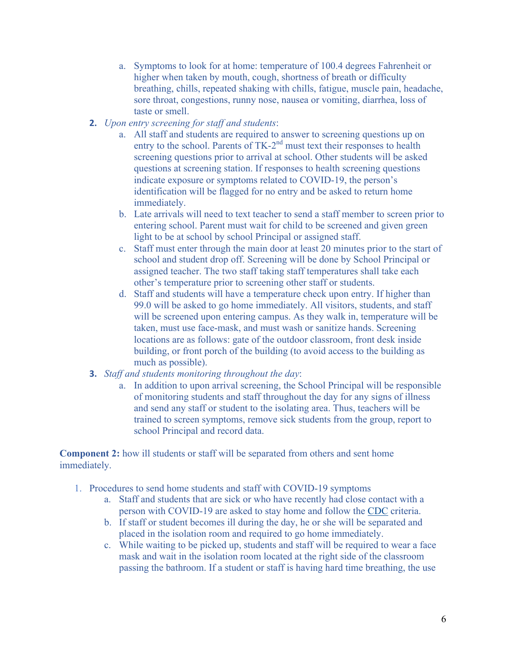- a. Symptoms to look for at home: temperature of 100.4 degrees Fahrenheit or higher when taken by mouth, cough, shortness of breath or difficulty breathing, chills, repeated shaking with chills, fatigue, muscle pain, headache, sore throat, congestions, runny nose, nausea or vomiting, diarrhea, loss of taste or smell.
- **2.** *Upon entry screening for staff and students*:
	- a. All staff and students are required to answer to screening questions up on entry to the school. Parents of TK-2<sup>nd</sup> must text their responses to health screening questions prior to arrival at school. Other students will be asked questions at screening station. If responses to health screening questions indicate exposure or symptoms related to COVID-19, the person's identification will be flagged for no entry and be asked to return home immediately.
	- b. Late arrivals will need to text teacher to send a staff member to screen prior to entering school. Parent must wait for child to be screened and given green light to be at school by school Principal or assigned staff.
	- c. Staff must enter through the main door at least 20 minutes prior to the start of school and student drop off. Screening will be done by School Principal or assigned teacher. The two staff taking staff temperatures shall take each other's temperature prior to screening other staff or students.
	- d. Staff and students will have a temperature check upon entry. If higher than 99.0 will be asked to go home immediately. All visitors, students, and staff will be screened upon entering campus. As they walk in, temperature will be taken, must use face-mask, and must wash or sanitize hands. Screening locations are as follows: gate of the outdoor classroom, front desk inside building, or front porch of the building (to avoid access to the building as much as possible).
- **3.** *Staff and students monitoring throughout the day*:
	- a. In addition to upon arrival screening, the School Principal will be responsible of monitoring students and staff throughout the day for any signs of illness and send any staff or student to the isolating area. Thus, teachers will be trained to screen symptoms, remove sick students from the group, report to school Principal and record data.

**Component 2:** how ill students or staff will be separated from others and sent home immediately.

- 1. Procedures to send home students and staff with COVID-19 symptoms
	- a. Staff and students that are sick or who have recently had close contact with a person with COVID-19 are asked to stay home and follow the CDC criteria.
	- b. If staff or student becomes ill during the day, he or she will be separated and placed in the isolation room and required to go home immediately.
	- c. While waiting to be picked up, students and staff will be required to wear a face mask and wait in the isolation room located at the right side of the classroom passing the bathroom. If a student or staff is having hard time breathing, the use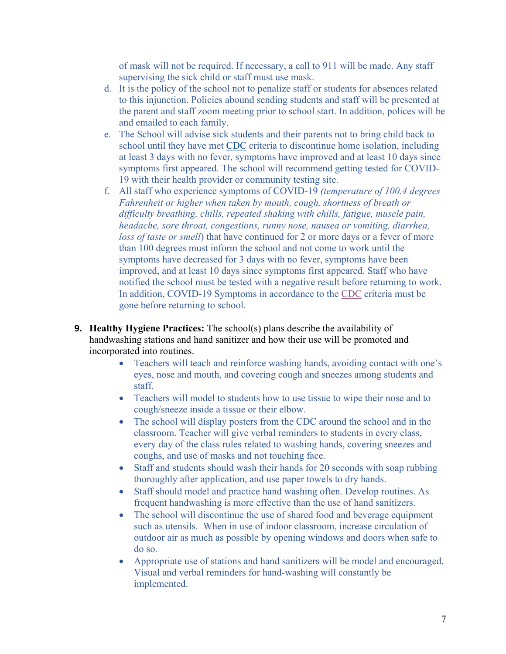of mask will not be required. If necessary, a call to 911 will be made. Any staff supervising the sick child or staff must use mask.

- d. It is the policy of the school not to penalize staff or students for absences related to this injunction. Policies abound sending students and staff will be presented at the parent and staff zoom meeting prior to school start. In addition, polices will be and emailed to each family.
- e. The School will advise sick students and their parents not to bring child back to school until they have met CDC criteria to discontinue home isolation, including at least 3 days with no fever, symptoms have improved and at least 10 days since symptoms first appeared. The school will recommend getting tested for COVID-19 with their health provider or community testing site.
- f. All staff who experience symptoms of COVID-19 *(temperature of 100.4 degrees Fahrenheit or higher when taken by mouth, cough, shortness of breath or difficulty breathing, chills, repeated shaking with chills, fatigue, muscle pain, headache, sore throat, congestions, runny nose, nausea or vomiting, diarrhea, loss of taste or smell*) that have continued for 2 or more days or a fever of more than 100 degrees must inform the school and not come to work until the symptoms have decreased for 3 days with no fever, symptoms have been improved, and at least 10 days since symptoms first appeared. Staff who have notified the school must be tested with a negative result before returning to work. In addition, COVID-19 Symptoms in accordance to the CDC criteria must be gone before returning to school.
- **9. Healthy Hygiene Practices:** The school(s) plans describe the availability of handwashing stations and hand sanitizer and how their use will be promoted and incorporated into routines.
	- Teachers will teach and reinforce washing hands, avoiding contact with one's eyes, nose and mouth, and covering cough and sneezes among students and staff.
	- Teachers will model to students how to use tissue to wipe their nose and to cough/sneeze inside a tissue or their elbow.
	- The school will display posters from the CDC around the school and in the classroom. Teacher will give verbal reminders to students in every class, every day of the class rules related to washing hands, covering sneezes and coughs, and use of masks and not touching face.
	- Staff and students should wash their hands for 20 seconds with soap rubbing thoroughly after application, and use paper towels to dry hands.
	- Staff should model and practice hand washing often. Develop routines. As frequent handwashing is more effective than the use of hand sanitizers.
	- The school will discontinue the use of shared food and beverage equipment such as utensils. When in use of indoor classroom, increase circulation of outdoor air as much as possible by opening windows and doors when safe to do so.
	- Appropriate use of stations and hand sanitizers will be model and encouraged. Visual and verbal reminders for hand-washing will constantly be implemented.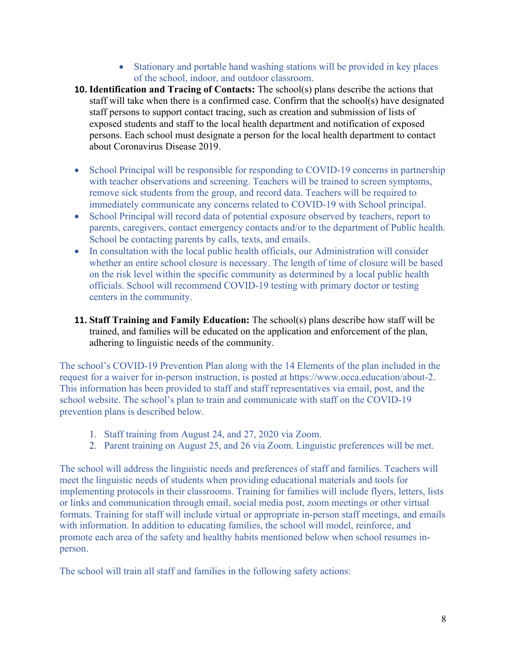- Stationary and portable hand washing stations will be provided in key places of the school, indoor, and outdoor classroom.
- **10. Identification and Tracing of Contacts:** The school(s) plans describe the actions that staff will take when there is a confirmed case. Confirm that the school(s) have designated staff persons to support contact tracing, such as creation and submission of lists of exposed students and staff to the local health department and notification of exposed persons. Each school must designate a person for the local health department to contact about Coronavirus Disease 2019.
- School Principal will be responsible for responding to COVID-19 concerns in partnership with teacher observations and screening. Teachers will be trained to screen symptoms, remove sick students from the group, and record data. Teachers will be required to immediately communicate any concerns related to COVID-19 with School principal.
- School Principal will record data of potential exposure observed by teachers, report to parents, caregivers, contact emergency contacts and/or to the department of Public health. School be contacting parents by calls, texts, and emails.
- In consultation with the local public health officials, our Administration will consider whether an entire school closure is necessary. The length of time of closure will be based on the risk level within the specific community as determined by a local public health officials. School will recommend COVID-19 testing with primary doctor or testing centers in the community.
- **11. Staff Training and Family Education:** The school(s) plans describe how staff will be trained, and families will be educated on the application and enforcement of the plan, adhering to linguistic needs of the community.

The school's COVID-19 Prevention Plan along with the 14 Elements of the plan included in the request for a waiver for in-person instruction, is posted at https://www.occa.education/about-2. This information has been provided to staff and staff representatives via email, post, and the school website. The school's plan to train and communicate with staff on the COVID-19 prevention plans is described below.

- 1. Staff training from August 24, and 27, 2020 via Zoom.
- 2. Parent training on August 25, and 26 via Zoom. Linguistic preferences will be met.

The school will address the linguistic needs and preferences of staff and families. Teachers will meet the linguistic needs of students when providing educational materials and tools for implementing protocols in their classrooms. Training for families will include flyers, letters, lists or links and communication through email, social media post, zoom meetings or other virtual formats. Training for staff will include virtual or appropriate in-person staff meetings, and emails with information. In addition to educating families, the school will model, reinforce, and promote each area of the safety and healthy habits mentioned below when school resumes inperson.

The school will train all staff and families in the following safety actions: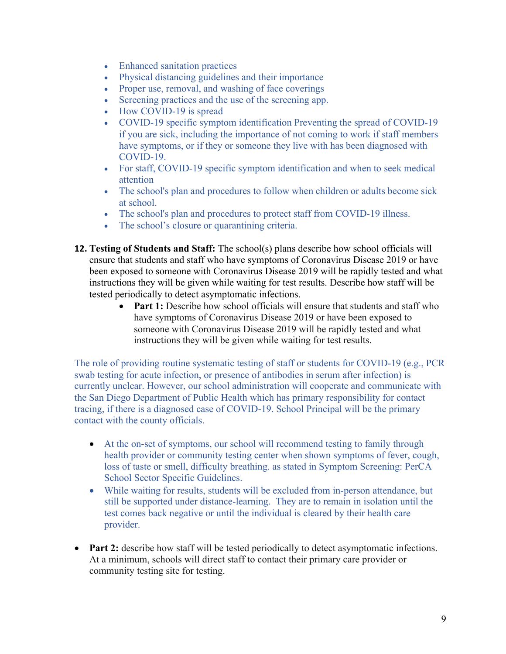- Enhanced sanitation practices
- Physical distancing guidelines and their importance
- Proper use, removal, and washing of face coverings
- Screening practices and the use of the screening app.
- How COVID-19 is spread
- COVID-19 specific symptom identification Preventing the spread of COVID-19 if you are sick, including the importance of not coming to work if staff members have symptoms, or if they or someone they live with has been diagnosed with COVID-19.
- For staff, COVID-19 specific symptom identification and when to seek medical attention
- The school's plan and procedures to follow when children or adults become sick at school.
- The school's plan and procedures to protect staff from COVID-19 illness.
- The school's closure or quarantining criteria.
- **12. Testing of Students and Staff:** The school(s) plans describe how school officials will ensure that students and staff who have symptoms of Coronavirus Disease 2019 or have been exposed to someone with Coronavirus Disease 2019 will be rapidly tested and what instructions they will be given while waiting for test results. Describe how staff will be tested periodically to detect asymptomatic infections.
	- **Part 1:** Describe how school officials will ensure that students and staff who have symptoms of Coronavirus Disease 2019 or have been exposed to someone with Coronavirus Disease 2019 will be rapidly tested and what instructions they will be given while waiting for test results.

The role of providing routine systematic testing of staff or students for COVID-19 (e.g., PCR swab testing for acute infection, or presence of antibodies in serum after infection) is currently unclear. However, our school administration will cooperate and communicate with the San Diego Department of Public Health which has primary responsibility for contact tracing, if there is a diagnosed case of COVID-19. School Principal will be the primary contact with the county officials.

- At the on-set of symptoms, our school will recommend testing to family through health provider or community testing center when shown symptoms of fever, cough, loss of taste or smell, difficulty breathing. as stated in Symptom Screening: PerCA School Sector Specific Guidelines.
- While waiting for results, students will be excluded from in-person attendance, but still be supported under distance-learning. They are to remain in isolation until the test comes back negative or until the individual is cleared by their health care provider.
- **Part 2:** describe how staff will be tested periodically to detect asymptomatic infections. At a minimum, schools will direct staff to contact their primary care provider or community testing site for testing.